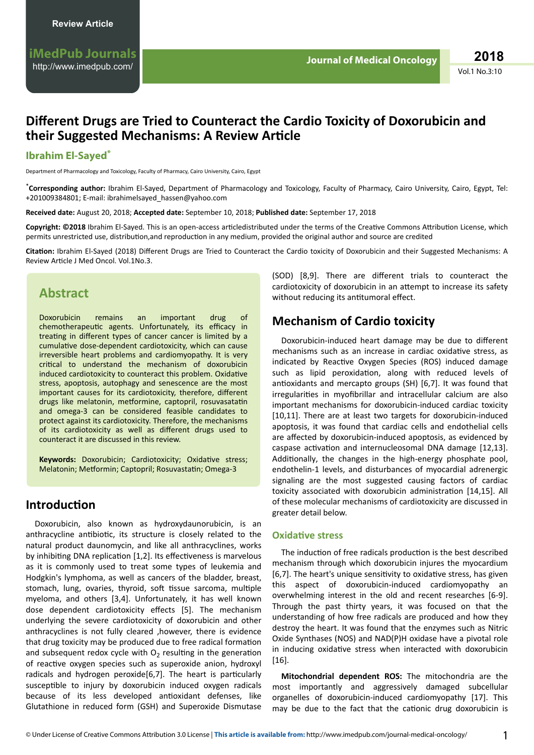# **Different Drugs are Tried to Counteract the Cardio Toxicity of Doxorubicin and their Suggested Mechanisms: A Review Article**

### **Ibrahim El-Sayed\***

Department of Pharmacology and Toxicology, Faculty of Pharmacy, Cairo University, Cairo, Egypt

\***Corresponding author:** Ibrahim El-Sayed, Department of Pharmacology and Toxicology, Faculty of Pharmacy, Cairo University, Cairo, Egypt, Tel: +201009384801; E-mail: ibrahimelsayed\_hassen@yahoo.com

**Received date:** August 20, 2018; **Accepted date:** September 10, 2018; **Published date:** September 17, 2018

Copyright: ©2018 Ibrahim El-Sayed. This is an open-access articledistributed under the terms of the Creative Commons Attribution License, which permits unrestricted use, distribution, and reproduction in any medium, provided the original author and source are credited

Citation: Ibrahim El-Sayed (2018) Different Drugs are Tried to Counteract the Cardio toxicity of Doxorubicin and their Suggested Mechanisms: A Review Article J Med Oncol. Vol.1No.3.

## **Abstract**

Doxorubicin remains an important drug of chemotherapeutic agents. Unfortunately, its efficacy in treating in different types of cancer cancer is limited by a cumulative dose-dependent cardiotoxicity, which can cause irreversible heart problems and cardiomyopathy. It is very critical to understand the mechanism of doxorubicin induced cardiotoxicity to counteract this problem. Oxidative stress, apoptosis, autophagy and senescence are the most important causes for its cardiotoxicity, therefore, different drugs like melatonin, metformine, captopril, rosuvasatatin and omega-3 can be considered feasible candidates to protect against its cardiotoxicity. Therefore, the mechanisms of its cardiotoxicity as well as different drugs used to counteract it are discussed in this review.

Keywords: Doxorubicin; Cardiotoxicity; Oxidative stress; Melatonin; Metformin; Captopril; Rosuvastatin; Omega-3

### **Introduction**

Doxorubicin, also known as hydroxydaunorubicin, is an anthracycline antibiotic, its structure is closely related to the natural product daunomycin, and like all anthracyclines, works by inhibiting DNA replication [1,2]. Its effectiveness is marvelous as it is commonly used to treat some types of leukemia and Hodgkin's lymphoma, as well as cancers of the bladder, breast, stomach, lung, ovaries, thyroid, soft tissue sarcoma, multiple myeloma, and others [3,4]. Unfortunately, it has well known dose dependent cardiotoxicity effects [5]. The mechanism underlying the severe cardiotoxicity of doxorubicin and other anthracyclines is not fully cleared ,however, there is evidence that drug toxicity may be produced due to free radical formation and subsequent redox cycle with  $O_2$  resulting in the generation of reactive oxygen species such as superoxide anion, hydroxyl radicals and hydrogen peroxide<sup>[6]</sup>. The heart is particularly susceptible to injury by doxorubicin induced oxygen radicals because of its less developed antioxidant defenses, like Glutathione in reduced form (GSH) and Superoxide Dismutase (SOD) [8,9]. There are different trials to counteract the cardiotoxicity of doxorubicin in an attempt to increase its safety without reducing its antitumoral effect.

## **Mechanism of Cardio toxicity**

Doxorubicin-induced heart damage may be due to different mechanisms such as an increase in cardiac oxidative stress, as indicated by Reactive Oxygen Species (ROS) induced damage such as lipid peroxidation, along with reduced levels of antioxidants and mercapto groups (SH)  $[6,7]$ . It was found that irregularities in myofibrillar and intracellular calcium are also important mechanisms for doxorubicin-induced cardiac toxicity [10,11]. There are at least two targets for doxorubicin-induced apoptosis, it was found that cardiac cells and endothelial cells are affected by doxorubicin-induced apoptosis, as evidenced by caspase activation and internucleosomal DNA damage [12,13]. Additionally, the changes in the high-energy phosphate pool, endothelin-1 levels, and disturbances of myocardial adrenergic signaling are the most suggested causing factors of cardiac toxicity associated with doxorubicin administration [14,15]. All of these molecular mechanisms of cardiotoxicity are discussed in greater detail below.

#### **Oxidative stress**

The induction of free radicals production is the best described mechanism through which doxorubicin injures the myocardium [6,7]. The heart's unique sensitivity to oxidative stress, has given this aspect of doxorubicin-induced cardiomyopathy an overwhelming interest in the old and recent researches [6-9]. Through the past thirty years, it was focused on that the understanding of how free radicals are produced and how they destroy the heart. It was found that the enzymes such as Nitric Oxide Synthases (NOS) and NAD(P)H oxidase have a pivotal role in inducing oxidative stress when interacted with doxorubicin [16].

**Mitochondrial dependent ROS:** The mitochondria are the most importantly and aggressively damaged subcellular organelles of doxorubicin-induced cardiomyopathy [17]. This may be due to the fact that the cationic drug doxorubicin is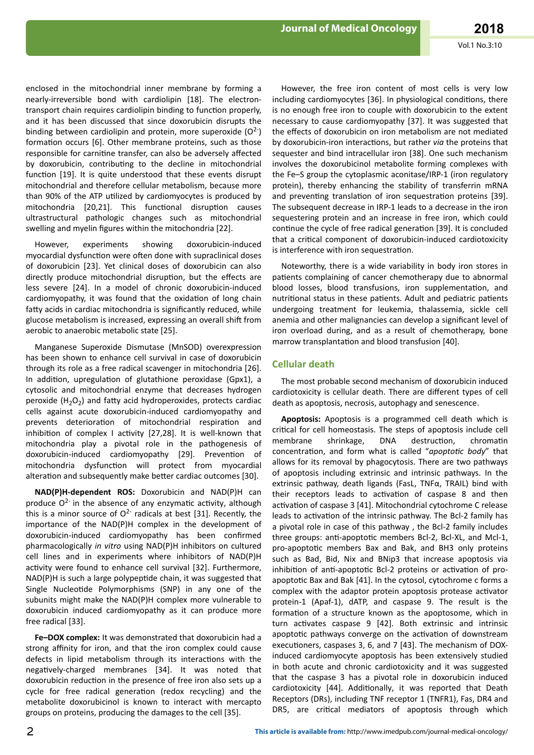enclosed in the mitochondrial inner membrane by forming a nearly-irreversible bond with cardiolipin [18]. The electrontransport chain requires cardiolipin binding to function properly, and it has been discussed that since doxorubicin disrupts the binding between cardiolipin and protein, more superoxide  $(O<sup>2</sup>)$ formation occurs [6]. Other membrane proteins, such as those responsible for carnitine transfer, can also be adversely affected by doxorubicin, contributing to the decline in mitochondrial function [19]. It is quite understood that these events disrupt mitochondrial and therefore cellular metabolism, because more than 90% of the ATP utilized by cardiomyocytes is produced by mitochondria [20,21]. This functional disruption causes ultrastructural pathologic changes such as mitochondrial swelling and myelin figures within the mitochondria [22].

However, experiments showing doxorubicin-induced myocardial dysfunction were often done with supraclinical doses of doxorubicin [23]. Yet clinical doses of doxorubicin can also directly produce mitochondrial disruption, but the effects are less severe [24]. In a model of chronic doxorubicin-induced cardiomyopathy, it was found that the oxidation of long chain fatty acids in cardiac mitochondria is significantly reduced, while glucose metabolism is increased, expressing an overall shift from aerobic to anaerobic metabolic state [25].

Manganese Superoxide Dismutase (MnSOD) overexpression has been shown to enhance cell survival in case of doxorubicin through its role as a free radical scavenger in mitochondria [26]. In addition, upregulation of glutathione peroxidase (Gpx1), a cytosolic and mitochondrial enzyme that decreases hydrogen peroxide  $(H_2O_2)$  and fatty acid hydroperoxides, protects cardiac cells against acute doxorubicin-induced cardiomyopathy and prevents deterioration of mitochondrial respiration and inhibition of complex I activity  $[27,28]$ . It is well-known that mitochondria play a pivotal role in the pathogenesis of doxorubicin-induced cardiomyopathy [29]. Prevention of mitochondria dysfunction will protect from myocardial alteration and subsequently make better cardiac outcomes [30].

**NAD(P)H-dependent ROS:** Doxorubicin and NAD(P)H can produce  $Q^2$  in the absence of any enzymatic activity, although this is a minor source of  $O^{2}$  radicals at best [31]. Recently, the importance of the NAD(P)H complex in the development of doxorubicin-induced cardiomyopathy has been confirmed pharmacologically *in vitro* using NAD(P)H inhibitors on cultured cell lines and in experiments where inhibitors of NAD(P)H activity were found to enhance cell survival [32]. Furthermore,  $NAD(P)H$  is such a large polypeptide chain, it was suggested that Single Nucleotide Polymorphisms (SNP) in any one of the subunits might make the NAD(P)H complex more vulnerable to doxorubicin induced cardiomyopathy as it can produce more free radical [33].

**Fe–DOX complex:** It was demonstrated that doxorubicin had a strong affinity for iron, and that the iron complex could cause defects in lipid metabolism through its interactions with the negatively-charged membranes [34]. It was noted that doxorubicin reduction in the presence of free iron also sets up a cycle for free radical generation (redox recycling) and the metabolite doxorubicinol is known to interact with mercapto groups on proteins, producing the damages to the cell [35].

However, the free iron content of most cells is very low including cardiomyocytes [36]. In physiological conditions, there is no enough free iron to couple with doxorubicin to the extent necessary to cause cardiomyopathy [37]. It was suggested that the effects of doxorubicin on iron metabolism are not mediated by doxorubicin-iron interactions, but rather via the proteins that sequester and bind intracellular iron [38]. One such mechanism involves the doxorubicinol metabolite forming complexes with the Fe–S group the cytoplasmic aconitase/IRP-1 (iron regulatory protein), thereby enhancing the stability of transferrin mRNA and preventing translation of iron sequestration proteins [39]. The subsequent decrease in IRP-1 leads to a decrease in the iron sequestering protein and an increase in free iron, which could continue the cycle of free radical generation [39]. It is concluded that a critical component of doxorubicin-induced cardiotoxicity is interference with iron sequestration.

Noteworthy, there is a wide variability in body iron stores in patients complaining of cancer chemotherapy due to abnormal blood losses, blood transfusions, iron supplementation, and nutritional status in these patients. Adult and pediatric patients undergoing treatment for leukemia, thalassemia, sickle cell anemia and other malignancies can develop a significant level of iron overload during, and as a result of chemotherapy, bone marrow transplantation and blood transfusion [40].

#### **Cellular death**

The most probable second mechanism of doxorubicin induced cardiotoxicity is cellular death. There are different types of cell death as apoptosis, necrosis, autophagy and senescence.

**Apoptosis:** Apoptosis is a programmed cell death which is critical for cell homeostasis. The steps of apoptosis include cell membrane shrinkage, DNA destruction, chromatin concentration, and form what is called "apoptotic body" that allows for its removal by phagocytosis. There are two pathways of apoptosis including extrinsic and intrinsic pathways. In the extrinsic pathway, death ligands (FasL, TNFα, TRAIL) bind with their receptors leads to activation of caspase 8 and then activation of caspase 3 [41]. Mitochondrial cytochrome C release leads to activation of the intrinsic pathway. The Bcl-2 family has a pivotal role in case of this pathway , the Bcl-2 family includes three groups: anti-apoptotic members Bcl-2, Bcl-XL, and Mcl-1, pro-apoptotic members Bax and Bak, and BH3 only proteins such as Bad, Bid, Nix and BNip3 that increase apoptosis via inhibition of anti-apoptotic Bcl-2 proteins or activation of proapoptotic Bax and Bak [41]. In the cytosol, cytochrome c forms a complex with the adaptor protein apoptosis protease activator protein-1 (Apaf-1), dATP, and caspase 9. The result is the formation of a structure known as the apoptosome, which in turn activates caspase 9 [42]. Both extrinsic and intrinsic apoptotic pathways converge on the activation of downstream executioners, caspases 3, 6, and 7 [43]. The mechanism of DOXinduced cardiomyocyte apoptosis has been extensively studied in both acute and chronic cardiotoxicity and it was suggested that the caspase 3 has a pivotal role in doxorubicin induced cardiotoxicity [44]. Additionally, it was reported that Death Receptors (DRs), including TNF receptor 1 (TNFR1), Fas, DR4 and DR5, are critical mediators of apoptosis through which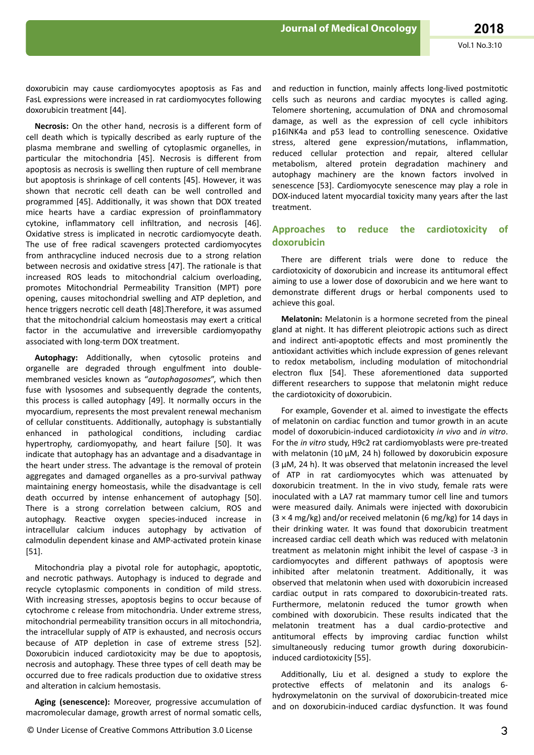doxorubicin may cause cardiomyocytes apoptosis as Fas and FasL expressions were increased in rat cardiomyocytes following doxorubicin treatment [44].

Necrosis: On the other hand, necrosis is a different form of cell death which is typically described as early rupture of the plasma membrane and swelling of cytoplasmic organelles, in particular the mitochondria [45]. Necrosis is different from apoptosis as necrosis is swelling then rupture of cell membrane but apoptosis is shrinkage of cell contents [45]. However, it was shown that necrotic cell death can be well controlled and programmed [45]. Additionally, it was shown that DOX treated mice hearts have a cardiac expression of proinflammatory cytokine, inflammatory cell infiltration, and necrosis [46]. Oxidative stress is implicated in necrotic cardiomyocyte death. The use of free radical scavengers protected cardiomyocytes from anthracycline induced necrosis due to a strong relation between necrosis and oxidative stress [47]. The rationale is that increased ROS leads to mitochondrial calcium overloading, promotes Mitochondrial Permeability Transition (MPT) pore opening, causes mitochondrial swelling and ATP depletion, and hence triggers necrotic cell death [48].Therefore, it was assumed that the mitochondrial calcium homeostasis may exert a critical factor in the accumulative and irreversible cardiomyopathy associated with long-term DOX treatment.

Autophagy: Additionally, when cytosolic proteins and organelle are degraded through engulfment into doublemembraned vesicles known as "*autophagosomes*", which then fuse with lysosomes and subsequently degrade the contents, this process is called autophagy [49]. It normally occurs in the myocardium, represents the most prevalent renewal mechanism of cellular constituents. Additionally, autophagy is substantially enhanced in pathological conditions, including cardiac hypertrophy, cardiomyopathy, and heart failure [50]. It was indicate that autophagy has an advantage and a disadvantage in the heart under stress. The advantage is the removal of protein aggregates and damaged organelles as a pro-survival pathway maintaining energy homeostasis, while the disadvantage is cell death occurred by intense enhancement of autophagy [50]. There is a strong correlation between calcium, ROS and autophagy. Reactive oxygen species-induced increase in intracellular calcium induces autophagy by activation of calmodulin dependent kinase and AMP-activated protein kinase [51].

Mitochondria play a pivotal role for autophagic, apoptotic, and necrotic pathways. Autophagy is induced to degrade and recycle cytoplasmic components in condition of mild stress. With increasing stresses, apoptosis begins to occur because of cytochrome c release from mitochondria. Under extreme stress, mitochondrial permeability transition occurs in all mitochondria, the intracellular supply of ATP is exhausted, and necrosis occurs because of ATP depletion in case of extreme stress [52]. Doxorubicin induced cardiotoxicity may be due to apoptosis, necrosis and autophagy. These three types of cell death may be occurred due to free radicals production due to oxidative stress and alteration in calcium hemostasis.

Aging (senescence): Moreover, progressive accumulation of macromolecular damage, growth arrest of normal somatic cells,

and reduction in function, mainly affects long-lived postmitotic cells such as neurons and cardiac myocytes is called aging. Telomere shortening, accumulation of DNA and chromosomal damage, as well as the expression of cell cycle inhibitors p16INK4a and p53 lead to controlling senescence. Oxidative stress, altered gene expression/mutations, inflammation, reduced cellular protection and repair, altered cellular metabolism, altered protein degradation machinery and autophagy machinery are the known factors involved in senescence [53]. Cardiomyocyte senescence may play a role in DOX-induced latent myocardial toxicity many years after the last treatment.

### **Approaches to reduce the cardiotoxicity of doxorubicin**

There are different trials were done to reduce the cardiotoxicity of doxorubicin and increase its antitumoral effect aiming to use a lower dose of doxorubicin and we here want to demonstrate different drugs or herbal components used to achieve this goal.

**Melatonin:** Melatonin is a hormone secreted from the pineal gland at night. It has different pleiotropic actions such as direct and indirect anti-apoptotic effects and most prominently the antioxidant activities which include expression of genes relevant to redox metabolism, including modulation of mitochondrial electron flux [54]. These aforementioned data supported different researchers to suppose that melatonin might reduce the cardiotoxicity of doxorubicin.

For example, Govender et al. aimed to investigate the effects of melatonin on cardiac function and tumor growth in an acute model of doxorubicin-induced cardiotoxicity *in vivo* and *in vitro*. For the *in vitro* study, H9c2 rat cardiomyoblasts were pre-treated with melatonin (10 μM, 24 h) followed by doxorubicin exposure (3 μM, 24 h). It was observed that melatonin increased the level of ATP in rat cardiomyocytes which was attenuated by doxorubicin treatment. In the in vivo study, female rats were inoculated with a LA7 rat mammary tumor cell line and tumors were measured daily. Animals were injected with doxorubicin (3 × 4 mg/kg) and/or received melatonin (6 mg/kg) for 14 days in their drinking water. It was found that doxorubicin treatment increased cardiac cell death which was reduced with melatonin treatment as melatonin might inhibit the level of caspase -3 in cardiomyocytes and different pathways of apoptosis were inhibited after melatonin treatment. Additionally, it was observed that melatonin when used with doxorubicin increased cardiac output in rats compared to doxorubicin-treated rats. Furthermore, melatonin reduced the tumor growth when combined with doxorubicin. These results indicated that the melatonin treatment has a dual cardio-protective and antitumoral effects by improving cardiac function whilst simultaneously reducing tumor growth during doxorubicininduced cardiotoxicity [55].

Additionally, Liu et al. designed a study to explore the protective effects of melatonin and its analogs 6hydroxymelatonin on the survival of doxorubicin-treated mice and on doxorubicin-induced cardiac dysfunction. It was found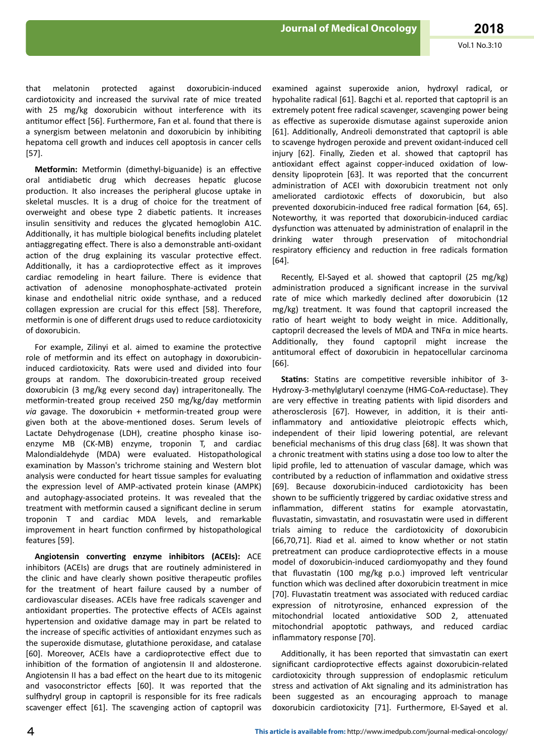melatonin protected against doxorubicin-induced that cardiotoxicity and increased the survival rate of mice treated with 25 mg/kg doxorubicin without interference with its antitumor effect [56]. Furthermore, Fan et al. found that there is a synergism between melatonin and doxorubicin by inhibiting hepatoma cell growth and induces cell apoptosis in cancer cells  $[57]$ .

Metformin: Metformin (dimethyl-biguanide) is an effective oral antidiabetic drug which decreases hepatic glucose production. It also increases the peripheral glucose uptake in skeletal muscles. It is a drug of choice for the treatment of overweight and obese type 2 diabetic patients. It increases insulin sensitivity and reduces the glycated hemoglobin A1C. Additionally, it has multiple biological benefits including platelet antiaggregating effect. There is also a demonstrable anti-oxidant action of the drug explaining its vascular protective effect. Additionally, it has a cardioprotective effect as it improves cardiac remodeling in heart failure. There is evidence that activation of adenosine monophosphate-activated protein kinase and endothelial nitric oxide synthase, and a reduced collagen expression are crucial for this effect [58]. Therefore, metformin is one of different drugs used to reduce cardiotoxicity of doxorubicin.

For example, Zilinyi et al. aimed to examine the protective role of metformin and its effect on autophagy in doxorubicininduced cardiotoxicity. Rats were used and divided into four groups at random. The doxorubicin-treated group received doxorubicin (3 mg/kg every second day) intraperitoneally. The metformin-treated group received 250 mg/kg/day metformin via gavage. The doxorubicin + metformin-treated group were given both at the above-mentioned doses. Serum levels of Lactate Dehydrogenase (LDH), creatine phospho kinase isoenzyme MB (CK-MB) enzyme, troponin T, and cardiac Malondialdehyde (MDA) were evaluated. Histopathological examination by Masson's trichrome staining and Western blot analysis were conducted for heart tissue samples for evaluating the expression level of AMP-activated protein kinase (AMPK) and autophagy-associated proteins. It was revealed that the treatment with metformin caused a significant decline in serum troponin T and cardiac MDA levels, and remarkable improvement in heart function confirmed by histopathological features [59].

Angiotensin converting enzyme inhibitors (ACEIs): ACE inhibitors (ACEIs) are drugs that are routinely administered in the clinic and have clearly shown positive therapeutic profiles for the treatment of heart failure caused by a number of cardiovascular diseases. ACEIs have free radicals scavenger and antioxidant properties. The protective effects of ACEIs against hypertension and oxidative damage may in part be related to the increase of specific activities of antioxidant enzymes such as the superoxide dismutase, glutathione peroxidase, and catalase [60]. Moreover, ACEIs have a cardioprotective effect due to inhibition of the formation of angiotensin II and aldosterone. Angiotensin II has a bad effect on the heart due to its mitogenic and vasoconstrictor effects [60]. It was reported that the sulfhydryl group in captopril is responsible for its free radicals scavenger effect [61]. The scavenging action of captopril was

examined against superoxide anion, hydroxyl radical, or hypohalite radical [61]. Bagchi et al. reported that captopril is an extremely potent free radical scavenger, scavenging power being as effective as superoxide dismutase against superoxide anion [61]. Additionally, Andreoli demonstrated that captopril is able to scavenge hydrogen peroxide and prevent oxidant-induced cell injury [62]. Finally, Zieden et al. showed that captopril has antioxidant effect against copper-induced oxidation of lowdensity lipoprotein [63]. It was reported that the concurrent administration of ACEI with doxorubicin treatment not only ameliorated cardiotoxic effects of doxorubicin. but also prevented doxorubicin-induced free radical formation [64, 65]. Noteworthy, it was reported that doxorubicin-induced cardiac dysfunction was attenuated by administration of enalapril in the drinking water through preservation of mitochondrial respiratory efficiency and reduction in free radicals formation  $[64]$ .

Recently, El-Sayed et al. showed that captopril (25 mg/kg) administration produced a significant increase in the survival rate of mice which markedly declined after doxorubicin (12 mg/kg) treatment. It was found that captopril increased the ratio of heart weight to body weight in mice. Additionally. captopril decreased the levels of MDA and  $TNF\alpha$  in mice hearts. Additionally, they found captopril might increase the antitumoral effect of doxorubicin in hepatocellular carcinoma  $[66]$ .

**Statins:** Statins are competitive reversible inhibitor of 3-Hydroxy-3-methylglutaryl coenzyme (HMG-CoA-reductase). They are very effective in treating patients with lipid disorders and atherosclerosis [67]. However, in addition, it is their antiinflammatory and antioxidative pleiotropic effects which, independent of their lipid lowering potential, are relevant beneficial mechanisms of this drug class [68]. It was shown that a chronic treatment with statins using a dose too low to alter the lipid profile, led to attenuation of vascular damage, which was contributed by a reduction of inflammation and oxidative stress [69]. Because doxorubicin-induced cardiotoxicity has been shown to be sufficiently triggered by cardiac oxidative stress and inflammation, different statins for example atorvastatin. fluvastatin, simvastatin, and rosuvastatin were used in different trials aiming to reduce the cardiotoxicity of doxorubicin [66,70,71]. Riad et al. aimed to know whether or not statin pretreatment can produce cardioprotective effects in a mouse model of doxorubicin-induced cardiomyopathy and they found that fluvastatin (100 mg/kg p.o.) improved left ventricular function which was declined after doxorubicin treatment in mice [70]. Fluvastatin treatment was associated with reduced cardiac expression of nitrotyrosine, enhanced expression of the mitochondrial located antioxidative SOD 2, attenuated mitochondrial apoptotic pathways, and reduced cardiac inflammatory response [70].

Additionally, it has been reported that simvastatin can exert significant cardioprotective effects against doxorubicin-related cardiotoxicity through suppression of endoplasmic reticulum stress and activation of Akt signaling and its administration has been suggested as an encouraging approach to manage doxorubicin cardiotoxicity [71]. Furthermore, El-Sayed et al.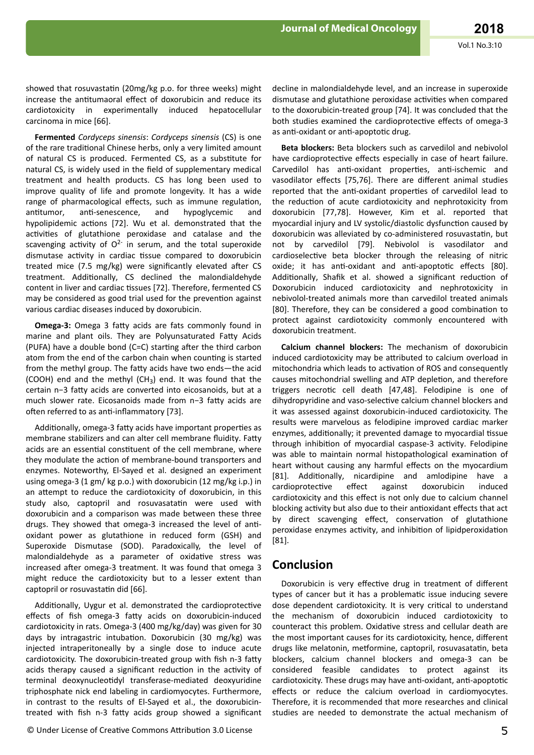showed that rosuvastatin (20mg/kg p.o. for three weeks) might increase the antitumaoral effect of doxorubicin and reduce its cardiotoxicity in experimentally induced hepatocellular carcinoma in mice [66].

Fermented Cordyceps sinensis: Cordyceps sinensis (CS) is one of the rare traditional Chinese herbs, only a very limited amount of natural CS is produced. Fermented CS, as a substitute for natural CS, is widely used in the field of supplementary medical treatment and health products. CS has long been used to improve quality of life and promote longevity. It has a wide range of pharmacological effects, such as immune regulation, antitumor. anti-senescence. and hypoglycemic and hypolipidemic actions [72]. Wu et al. demonstrated that the activities of glutathione peroxidase and catalase and the scavenging activity of  $O^{2-}$  in serum, and the total superoxide dismutase activity in cardiac tissue compared to doxorubicin treated mice (7.5 mg/kg) were significantly elevated after CS treatment. Additionally, CS declined the malondialdehyde content in liver and cardiac tissues [72]. Therefore, fermented CS may be considered as good trial used for the prevention against various cardiac diseases induced by doxorubicin.

Omega-3: Omega 3 fatty acids are fats commonly found in marine and plant oils. They are Polyunsaturated Fatty Acids (PUFA) have a double bond (C=C) starting after the third carbon atom from the end of the carbon chain when counting is started from the methyl group. The fatty acids have two ends-the acid (COOH) end and the methyl (CH<sub>3</sub>) end. It was found that the certain n-3 fatty acids are converted into eicosanoids, but at a much slower rate. Eicosanoids made from n-3 fatty acids are often referred to as anti-inflammatory [73].

Additionally, omega-3 fatty acids have important properties as membrane stabilizers and can alter cell membrane fluidity. Fatty acids are an essential constituent of the cell membrane, where they modulate the action of membrane-bound transporters and enzymes. Noteworthy, El-Sayed et al. designed an experiment using omega-3 (1 gm/ kg p.o.) with doxorubicin (12 mg/kg i.p.) in an attempt to reduce the cardiotoxicity of doxorubicin, in this study also, captopril and rosuvasatatin were used with doxorubicin and a comparison was made between these three drugs. They showed that omega-3 increased the level of antioxidant power as glutathione in reduced form (GSH) and Superoxide Dismutase (SOD). Paradoxically, the level of malondialdehyde as a parameter of oxidative stress was increased after omega-3 treatment. It was found that omega 3 might reduce the cardiotoxicity but to a lesser extent than captopril or rosuvastatin did [66].

Additionally, Uygur et al. demonstrated the cardioprotective effects of fish omega-3 fatty acids on doxorubicin-induced cardiotoxicity in rats. Omega-3 (400 mg/kg/day) was given for 30 days by intragastric intubation. Doxorubicin (30 mg/kg) was injected intraperitoneally by a single dose to induce acute cardiotoxicity. The doxorubicin-treated group with fish n-3 fatty acids therapy caused a significant reduction in the activity of terminal deoxynucleotidyl transferase-mediated deoxyuridine triphosphate nick end labeling in cardiomyocytes. Furthermore, in contrast to the results of El-Sayed et al., the doxorubicintreated with fish n-3 fatty acids group showed a significant

© Under License of Creative Commons Attribution 3.0 License

decline in malondialdehyde level, and an increase in superoxide dismutase and glutathione peroxidase activities when compared to the doxorubicin-treated group [74]. It was concluded that the both studies examined the cardioprotective effects of omega-3 as anti-oxidant or anti-apoptotic drug.

Beta blockers: Beta blockers such as carvedilol and nebivolol have cardioprotective effects especially in case of heart failure. Carvedilol has anti-oxidant properties, anti-ischemic and vasodilator effects [75,76]. There are different animal studies reported that the anti-oxidant properties of carvedilol lead to the reduction of acute cardiotoxicity and nephrotoxicity from doxorubicin [77,78]. However, Kim et al. reported that myocardial injury and LV systolic/diastolic dysfunction caused by doxorubicin was alleviated by co-administered rosuvastatin, but not by carvedilol [79]. Nebivolol is vasodilator and cardioselective beta blocker through the releasing of nitric oxide; it has anti-oxidant and anti-apoptotic effects [80]. Additionally, Shafik et al. showed a significant reduction of Doxorubicin induced cardiotoxicity and nephrotoxicity in nebivolol-treated animals more than carvedilol treated animals [80]. Therefore, they can be considered a good combination to protect against cardiotoxicity commonly encountered with doxorubicin treatment.

Calcium channel blockers: The mechanism of doxorubicin induced cardiotoxicity may be attributed to calcium overload in mitochondria which leads to activation of ROS and consequently causes mitochondrial swelling and ATP depletion, and therefore triggers necrotic cell death [47.48]. Felodipine is one of dihydropyridine and vaso-selective calcium channel blockers and it was assessed against doxorubicin-induced cardiotoxicity. The results were marvelous as felodipine improved cardiac marker enzymes, additionally; it prevented damage to myocardial tissue through inhibition of myocardial caspase-3 activity. Felodipine was able to maintain normal histopathological examination of heart without causing any harmful effects on the myocardium [81]. Additionally, nicardipine and amlodipine have a cardioprotective effect against doxorubicin henihmi cardiotoxicity and this effect is not only due to calcium channel blocking activity but also due to their antioxidant effects that act by direct scavenging effect, conservation of glutathione peroxidase enzymes activity, and inhibition of lipidperoxidation  $[81]$ .

# **Conclusion**

Doxorubicin is very effective drug in treatment of different types of cancer but it has a problematic issue inducing severe dose dependent cardiotoxicity. It is very critical to understand the mechanism of doxorubicin induced cardiotoxicity to counteract this problem. Oxidative stress and cellular death are the most important causes for its cardiotoxicity, hence, different drugs like melatonin, metformine, captopril, rosuvasatatin, beta blockers, calcium channel blockers and omega-3 can be considered feasible candidates to protect against its cardiotoxicity. These drugs may have anti-oxidant, anti-apoptotic effects or reduce the calcium overload in cardiomyocytes. Therefore, it is recommended that more researches and clinical studies are needed to demonstrate the actual mechanism of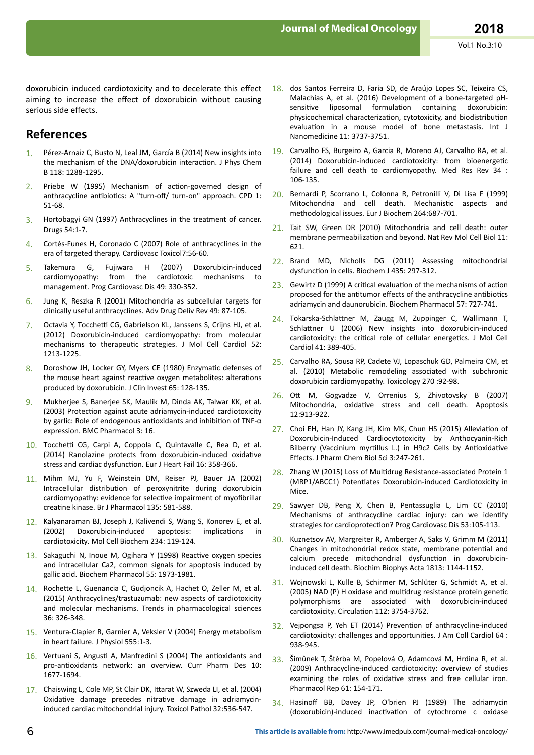doxorubicin induced cardiotoxicity and to decelerate this effect aiming to increase the effect of doxorubicin without causing serious side effects.

# **References**

- Pérez-Arnaiz C, Busto N, Leal JM, García B (2014) New insights into the mechanism of the DNA/doxorubicin interaction. J Phys Chem B 118: 1288-1295.
- 2. Priebe W (1995) Mechanism of action-governed design of anthracycline antibiotics: A "turn-off/ turn-on" approach. CPD 1: 51-68.
- 3. Hortobagyi GN (1997) Anthracyclines in the treatment of cancer. Drugs 54:1-7.
- 4. Cortés-Funes H, Coronado C (2007) Role of anthracyclines in the era of targeted therapy. Cardiovasc Toxicol7:56-60.
- 5. Takemura G, Fujiwara H (2007) Doxorubicin-induced cardiomyopathy: from the cardiotoxic mechanisms to management. Prog Cardiovasc Dis 49: 330-352.
- 6. Jung K, Reszka R (2001) Mitochondria as subcellular targets for clinically useful anthracyclines. Adv Drug Deliv Rev 49: 87-105.
- 7. Octavia Y, Tocchetti CG, Gabrielson KL, Janssens S, Crijns HJ, et al. (2012) Doxorubicin-induced cardiomyopathy: from molecular mechanisms to therapeutic strategies. J Mol Cell Cardiol 52: 1213-1225.
- 8. Doroshow JH, Locker GY, Myers CE (1980) Enzymatic defenses of the mouse heart against reactive oxygen metabolites: alterations produced by doxorubicin. J Clin Invest 65: 128-135.
- 9. Mukherjee S, Banerjee SK, Maulik M, Dinda AK, Talwar KK, et al. (2003) Protection against acute adriamycin-induced cardiotoxicity by garlic: Role of endogenous antioxidants and inhibition of TNF- $\alpha$ expression. BMC Pharmacol 3: 16.
- 10. Tocchetti CG, Carpi A, Coppola C, Quintavalle C, Rea D, et al. (2014) Ranolazine protects from doxorubicin-induced oxidative stress and cardiac dysfunction. Eur J Heart Fail 16: 358-366.
- 11. Mihm MJ, Yu F, Weinstein DM, Reiser PJ, Bauer JA (2002) Intracellular distribution of peroxynitrite during doxorubicin cardiomyopathy: evidence for selective impairment of myofibrillar creatine kinase. Br J Pharmacol 135: 581-588.
- 12. Kalyanaraman BJ, Joseph J, Kalivendi S, Wang S, Konorev E, et al. (2002) Doxorubicin-induced apoptosis: implications in cardiotoxicity. Mol Cell Biochem 234: 119-124.
- 13. Sakaguchi N, Inoue M, Ogihara Y (1998) Reactive oxygen species and intracellular Ca2, common signals for apoptosis induced by gallic acid. Biochem Pharmacol 55: 1973-1981.
- 14. Rochette L, Guenancia C, Gudjoncik A, Hachet O, Zeller M, et al. (2015) Anthracyclines/trastuzumab: new aspects of cardiotoxicity and molecular mechanisms. Trends in pharmacological sciences 36: 326-348.
- 15. Ventura-Clapier R, Garnier A, Veksler V (2004) Energy metabolism in heart failure. J Physiol 555:1-3.
- 16. Vertuani S, Angusti A, Manfredini S (2004) The antioxidants and pro-antioxidants network: an overview. Curr Pharm Des 10: 1677-1694.
- 17. Chaiswing L, Cole MP, St Clair DK, Ittarat W, Szweda LI, et al. (2004) Oxidative damage precedes nitrative damage in adriamycininduced cardiac mitochondrial injury. Toxicol Pathol 32:536-547.
- 18. dos Santos Ferreira D, Faria SD, de Araújo Lopes SC, Teixeira CS, Malachias A, et al. (2016) Development of a bone-targeted pHsensitive liposomal formulation containing doxorubicin: physicochemical characterization, cytotoxicity, and biodistribution evaluation in a mouse model of bone metastasis. Int J Nanomedicine 11: 3737-3751.
- 19. Carvalho FS, Burgeiro A, Garcia R, Moreno AJ, Carvalho RA, et al. (2014) Doxorubicin-induced cardiotoxicity: from bioenergetic failure and cell death to cardiomyopathy. Med Res Rev 34 : 106-135.
- 20. Bernardi P, Scorrano L, Colonna R, Petronilli V, Di Lisa F (1999) Mitochondria and cell death. Mechanistic aspects and methodological issues. Eur J Biochem 264:687-701.
- 21. Tait SW, Green DR (2010) Mitochondria and cell death: outer membrane permeabilization and beyond. Nat Rev Mol Cell Biol 11: 621.
- 22. Brand MD, Nicholls DG (2011) Assessing mitochondrial dysfunction in cells. Biochem J 435: 297-312.
- $23.$  Gewirtz D (1999) A critical evaluation of the mechanisms of action proposed for the antitumor effects of the anthracycline antibiotics adriamycin and daunorubicin. Biochem Pharmacol 57: 727-741.
- 24. Tokarska-Schlattner M, Zaugg M, Zuppinger C, Wallimann T, Schlattner U (2006) New insights into doxorubicin-induced cardiotoxicity: the critical role of cellular energetics. J Mol Cell Cardiol 41: 389-405.
- 25. Carvalho RA, Sousa RP, Cadete VJ, Lopaschuk GD, Palmeira CM, et al. (2010) Metabolic remodeling associated with subchronic doxorubicin cardiomyopathy. Toxicology 270 :92-98.
- 26. Ott M, Gogvadze V, Orrenius S, Zhivotovsky B (2007) Mitochondria, oxidative stress and cell death. Apoptosis 12:913-922.
- 27. Choi EH, Han JY, Kang JH, Kim MK, Chun HS (2015) Alleviation of Doxorubicin-Induced Cardiocytotoxicity by Anthocyanin-Rich Bilberry (Vaccinium myrtillus L.) in H9c2 Cells by Antioxidative Effects. J Pharm Chem Biol Sci 3:247-261.
- 28. Zhang W (2015) Loss of Multidrug Resistance-associated Protein 1 (MRP1/ABCC1) Potentiates Doxorubicin-induced Cardiotoxicity in Mice.
- 29. Sawyer DB, Peng X, Chen B, Pentassuglia L, Lim CC (2010) Mechanisms of anthracycline cardiac injury: can we identify strategies for cardioprotection? Prog Cardiovasc Dis 53:105-113.
- 30. Kuznetsov AV, Margreiter R, Amberger A, Saks V, Grimm M (2011) Changes in mitochondrial redox state, membrane potential and calcium precede mitochondrial dysfunction in doxorubicininduced cell death. Biochim Biophys Acta 1813: 1144-1152.
- 31. Wojnowski L, Kulle B, Schirmer M, Schlüter G, Schmidt A, et al. (2005) NAD (P) H oxidase and multidrug resistance protein genetic polymorphisms are associated with doxorubicin-induced cardiotoxicity. Circulation 112: 3754-3762.
- 32. Vejpongsa P, Yeh ET (2014) Prevention of anthracycline-induced cardiotoxicity: challenges and opportunities. J Am Coll Cardiol 64 : 938-945.
- 33. Šimůnek T, Štěrba M, Popelová O, Adamcová M, Hrdina R, et al. (2009) Anthracycline-induced cardiotoxicity: overview of studies examining the roles of oxidative stress and free cellular iron. Pharmacol Rep 61: 154-171.
- 34. Hasinoff BB, Davey JP, O'brien PJ (1989) The adriamycin (doxorubicin)-induced inactivation of cytochrome c oxidase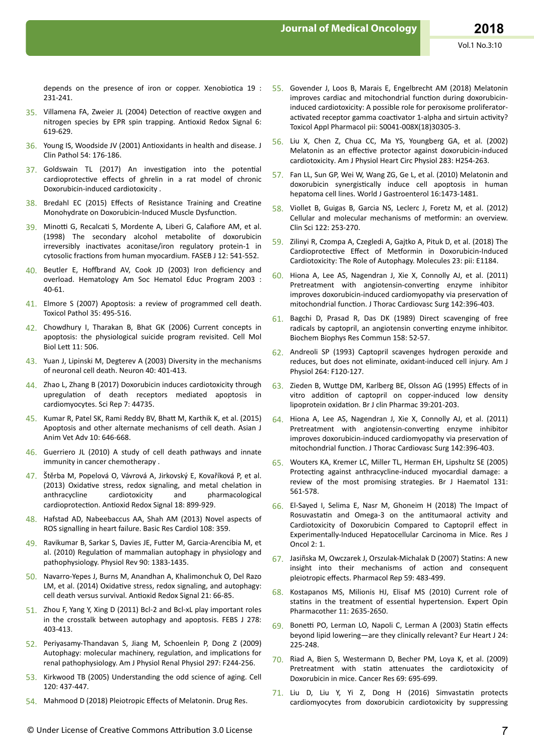depends on the presence of iron or copper. Xenobiotica 19 : 231-241.

- 35. Villamena FA, Zweier JL (2004) Detection of reactive oxygen and nitrogen species by EPR spin trapping. Antioxid Redox Signal 6: 619-629.
- 36. Young IS, Woodside JV (2001) Antioxidants in health and disease. J Clin Pathol 54: 176-186.
- 37. Goldswain TL (2017) An investigation into the potential cardioprotective effects of ghrelin in a rat model of chronic Doxorubicin-induced cardiotoxicity.
- 38. Bredahl EC (2015) Effects of Resistance Training and Creatine Monohydrate on Doxorubicin-Induced Muscle Dysfunction.
- 39. Minotti G, Recalcati S, Mordente A, Liberi G, Calafiore AM, et al. (1998) The secondary alcohol metabolite of doxorubicin irreversibly inactivates aconitase/iron regulatory protein-1 in cytosolic fractions from human myocardium. FASEB J 12: 541-552.
- 40. Beutler E, Hoffbrand AV, Cook JD (2003) Iron deficiency and overload. Hematology Am Soc Hematol Educ Program 2003 :  $40 - 61$ .
- 41. Elmore S (2007) Apoptosis: a review of programmed cell death. Toxicol Pathol 35: 495-516.
- 42. Chowdhury I, Tharakan B, Bhat GK (2006) Current concepts in apoptosis: the physiological suicide program revisited. Cell Mol Biol Lett 11: 506.
- 43. Yuan J, Lipinski M, Degterev A (2003) Diversity in the mechanisms of neuronal cell death. Neuron 40: 401-413.
- 44. Zhao L, Zhang B (2017) Doxorubicin induces cardiotoxicity through upregulation of death receptors mediated apoptosis in cardiomyocytes. Sci Rep 7: 44735.
- 45. Kumar R, Patel SK, Rami Reddy BV, Bhatt M, Karthik K, et al. (2015) Apoptosis and other alternate mechanisms of cell death. Asian J Anim Vet Adv 10: 646-668.
- 46. Guerriero JL (2010) A study of cell death pathways and innate immunity in cancer chemotherapy.
- 47. Štěrba M, Popelová O, Vávrová A, Jirkovský E, Kovaříková P, et al. (2013) Oxidative stress, redox signaling, and metal chelation in anthracycline cardiotoxicity and pharmacological cardioprotection. Antioxid Redox Signal 18: 899-929.
- 48. Hafstad AD, Nabeebaccus AA, Shah AM (2013) Novel aspects of ROS signalling in heart failure. Basic Res Cardiol 108: 359.
- 49. Ravikumar B, Sarkar S, Davies JE, Futter M, Garcia-Arencibia M, et al. (2010) Regulation of mammalian autophagy in physiology and pathophysiology. Physiol Rev 90: 1383-1435.
- 50. Navarro-Yepes J, Burns M, Anandhan A, Khalimonchuk O, Del Razo LM, et al. (2014) Oxidative stress, redox signaling, and autophagy: cell death versus survival. Antioxid Redox Signal 21: 66-85.
- 51. Zhou F, Yang Y, Xing D (2011) Bcl-2 and Bcl-xL play important roles in the crosstalk between autophagy and apoptosis. FEBS J 278: 403-413.
- 52. Periyasamy-Thandavan S, Jiang M, Schoenlein P, Dong Z (2009) Autophagy: molecular machinery, regulation, and implications for renal pathophysiology. Am J Physiol Renal Physiol 297: F244-256.
- 53. Kirkwood TB (2005) Understanding the odd science of aging. Cell 120: 437-447.
- 54. Mahmood D (2018) Pleiotropic Effects of Melatonin. Drug Res.
- 55. Govender J, Loos B, Marais E, Engelbrecht AM (2018) Melatonin improves cardiac and mitochondrial function during doxorubicininduced cardiotoxicity: A possible role for peroxisome proliferatoractivated receptor gamma coactivator 1-alpha and sirtuin activity? Toxicol Appl Pharmacol pii: S0041-008X(18)30305-3.
- Liu X, Chen Z, Chua CC, Ma YS, Youngberg GA, et al. (2002) 56. Melatonin as an effective protector against doxorubicin-induced cardiotoxicity. Am J Physiol Heart Circ Physiol 283: H254-263.
- 57. Fan LL, Sun GP, Wei W, Wang ZG, Ge L, et al. (2010) Melatonin and doxorubicin synergistically induce cell apoptosis in human hepatoma cell lines. World J Gastroenterol 16:1473-1481.
- 58. Viollet B, Guigas B, Garcia NS, Leclerc J, Foretz M, et al. (2012) Cellular and molecular mechanisms of metformin: an overview. Clin Sci 122: 253-270
- 59. Zilinyi R, Czompa A, Czegledi A, Gajtko A, Pituk D, et al. (2018) The Cardioprotective Effect of Metformin in Doxorubicin-Induced Cardiotoxicity: The Role of Autophagy. Molecules 23: pii: E1184.
- 60. Hiona A, Lee AS, Nagendran J, Xie X, Connolly AJ, et al. (2011) Pretreatment with angiotensin-converting enzyme inhibitor improves doxorubicin-induced cardiomyopathy via preservation of mitochondrial function. J Thorac Cardiovasc Surg 142:396-403.
- 61. Bagchi D, Prasad R, Das DK (1989) Direct scavenging of free radicals by captopril, an angiotensin converting enzyme inhibitor. Biochem Biophys Res Commun 158: 52-57.
- 62. Andreoli SP (1993) Captopril scavenges hydrogen peroxide and reduces, but does not eliminate, oxidant-induced cell injury. Am J Physiol 264: F120-127.
- 63. Zieden B, Wuttge DM, Karlberg BE, Olsson AG (1995) Effects of in vitro addition of captopril on copper-induced low density lipoprotein oxidation. Br J clin Pharmac 39:201-203.
- 64. Hiona A, Lee AS, Nagendran J, Xie X, Connolly AJ, et al. (2011) Pretreatment with angiotensin-converting enzyme inhibitor improves doxorubicin-induced cardiomyopathy via preservation of mitochondrial function. J Thorac Cardiovasc Surg 142:396-403.
- 65. Wouters KA, Kremer LC, Miller TL, Herman EH, Lipshultz SE (2005) Protecting against anthracycline-induced myocardial damage: a review of the most promising strategies. Br J Haematol 131: 561-578.
- 66. El-Sayed I, Selima E, Nasr M, Ghoneim H (2018) The Impact of Rosuvastatin and Omega-3 on the antitumaoral activity and Cardiotoxicity of Doxorubicin Compared to Captopril effect in Experimentally-Induced Hepatocellular Carcinoma in Mice. Res J Oncol 2: 1.
- 67. Jasiñska M, Owczarek J, Orszulak-Michalak D (2007) Statins: A new insight into their mechanisms of action and consequent pleiotropic effects. Pharmacol Rep 59: 483-499.
- 68. Kostapanos MS, Milionis HJ, Elisaf MS (2010) Current role of statins in the treatment of essential hypertension. Expert Opin Pharmacother 11: 2635-2650.
- 69. Bonetti PO, Lerman LO, Napoli C, Lerman A (2003) Statin effects beyond lipid lowering-are they clinically relevant? Eur Heart J 24: 225-248.
- 70. Riad A, Bien S, Westermann D, Becher PM, Loya K, et al. (2009) Pretreatment with statin attenuates the cardiotoxicity of Doxorubicin in mice. Cancer Res 69: 695-699.
- 71. Liu D, Liu Y, Yi Z, Dong H (2016) Simvastatin protects cardiomyocytes from doxorubicin cardiotoxicity by suppressing